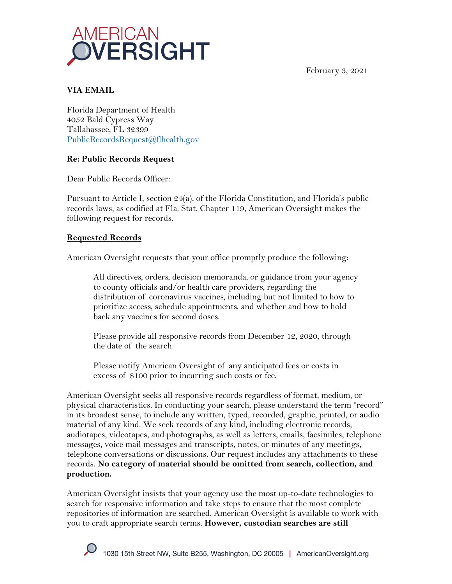



# **VIA EMAIL**

Florida Department of Health 4052 Bald Cypress Way Tallahassee, FL 32399 PublicRecordsRequest@flhealth.gov

# **Re: Public Records Request**

Dear Public Records Officer:

Pursuant to Article I, section 24(a), of the Florida Constitution, and Florida's public records laws, as codified at Fla. Stat. Chapter 119, American Oversight makes the following request for records.

## **Requested Records**

American Oversight requests that your office promptly produce the following:

All directives, orders, decision memoranda, or guidance from your agency to county officials and/or health care providers, regarding the distribution of coronavirus vaccines, including but not limited to how to prioritize access, schedule appointments, and whether and how to hold back any vaccines for second doses.

Please provide all responsive records from December 12, 2020, through the date of the search.

Please notify American Oversight of any anticipated fees or costs in excess of \$100 prior to incurring such costs or fee.

American Oversight seeks all responsive records regardless of format, medium, or physical characteristics. In conducting your search, please understand the term "record" in its broadest sense, to include any written, typed, recorded, graphic, printed, or audio material of any kind. We seek records of any kind, including electronic records, audiotapes, videotapes, and photographs, as well as letters, emails, facsimiles, telephone messages, voice mail messages and transcripts, notes, or minutes of any meetings, telephone conversations or discussions. Our request includes any attachments to these records. **No category of material should be omitted from search, collection, and production.**

American Oversight insists that your agency use the most up-to-date technologies to search for responsive information and take steps to ensure that the most complete repositories of information are searched. American Oversight is available to work with you to craft appropriate search terms. **However, custodian searches are still**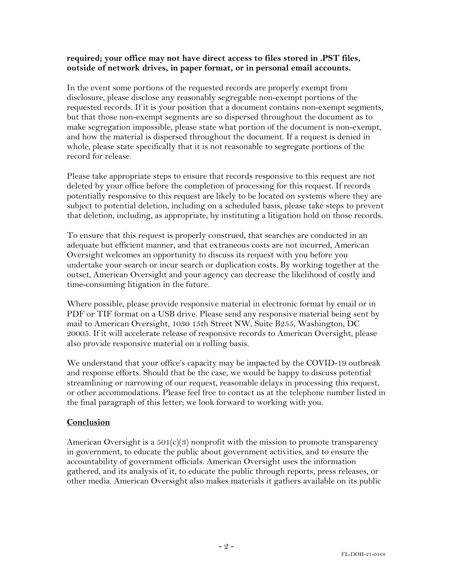### **required; your office may not have direct access to files stored in .PST files, outside of network drives, in paper format, or in personal email accounts.**

In the event some portions of the requested records are properly exempt from disclosure, please disclose any reasonably segregable non-exempt portions of the requested records. If it is your position that a document contains non-exempt segments, but that those non-exempt segments are so dispersed throughout the document as to make segregation impossible, please state what portion of the document is non-exempt, and how the material is dispersed throughout the document. If a request is denied in whole, please state specifically that it is not reasonable to segregate portions of the record for release.

Please take appropriate steps to ensure that records responsive to this request are not deleted by your office before the completion of processing for this request. If records potentially responsive to this request are likely to be located on systems where they are subject to potential deletion, including on a scheduled basis, please take steps to prevent that deletion, including, as appropriate, by instituting a litigation hold on those records.

To ensure that this request is properly construed, that searches are conducted in an adequate but efficient manner, and that extraneous costs are not incurred, American Oversight welcomes an opportunity to discuss its request with you before you undertake your search or incur search or duplication costs. By working together at the outset, American Oversight and your agency can decrease the likelihood of costly and time-consuming litigation in the future.

Where possible, please provide responsive material in electronic format by email or in PDF or TIF format on a USB drive. Please send any responsive material being sent by mail to American Oversight, 1030 15th Street NW, Suite B255, Washington, DC 20005. If it will accelerate release of responsive records to American Oversight, please also provide responsive material on a rolling basis.

We understand that your office's capacity may be impacted by the COVID-19 outbreak and response efforts. Should that be the case, we would be happy to discuss potential streamlining or narrowing of our request, reasonable delays in processing this request, or other accommodations. Please feel free to contact us at the telephone number listed in the final paragraph of this letter; we look forward to working with you.

#### **Conclusion**

American Oversight is a  $501(c)(3)$  nonprofit with the mission to promote transparency in government, to educate the public about government activities, and to ensure the accountability of government officials. American Oversight uses the information gathered, and its analysis of it, to educate the public through reports, press releases, or other media. American Oversight also makes materials it gathers available on its public